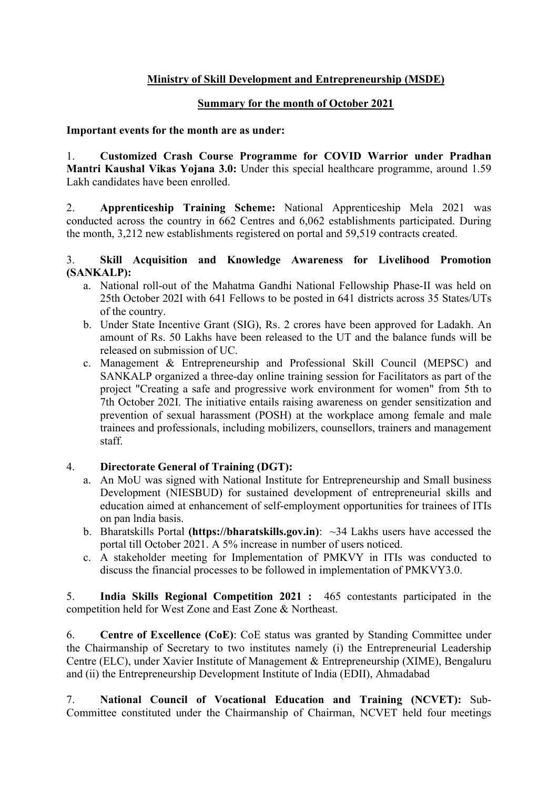# Ministry of Skill Development and Entrepreneurship (MSDE)

## Summary for the month of October 2021

#### Important events for the month are as under:

1. Customized Crash Course Programme for COVID Warrior under Pradhan Mantri Kaushal Vikas Yojana 3.0: Under this special healthcare programme, around 1.59 Lakh candidates have been enrolled.

2. Apprenticeship Training Scheme: National Apprenticeship Mela 2021 was conducted across the country in 662 Centres and 6,062 establishments participated. During the month, 3,212 new establishments registered on portal and 59,519 contracts created.

### 3. Skill Acquisition and Knowledge Awareness for Livelihood Promotion (SANKALP):

- a. National roll-out of the Mahatma Gandhi National Fellowship Phase-II was held on 25th October 202I with 641 Fellows to be posted in 641 districts across 35 States/UTs of the country.
- b. Under State Incentive Grant (SIG), Rs. 2 crores have been approved for Ladakh. An amount of Rs. 50 Lakhs have been released to the UT and the balance funds will be released on submission of UC.
- c. Management & Entrepreneurship and Professional Skill Council (MEPSC) and SANKALP organized a three-day online training session for Facilitators as part of the project "Creating a safe and progressive work environment for women" from 5th to 7th October 202I. The initiative entails raising awareness on gender sensitization and prevention of sexual harassment (POSH) at the workplace among female and male trainees and professionals, including mobilizers, counsellors, trainers and management staff.

## 4. Directorate General of Training (DGT):

- a. An MoU was signed with National Institute for Entrepreneurship and Small business Development (NIESBUD) for sustained development of entrepreneurial skills and education aimed at enhancement of self-employment opportunities for trainees of ITIs on pan lndia basis.
- b. Bharatskills Portal (https://bharatskills.gov.in):  $\sim$ 34 Lakhs users have accessed the portal till October 2021. A 5% increase in number of users noticed.
- c. A stakeholder meeting for Implementation of PMKVY in ITIs was conducted to discuss the financial processes to be followed in implementation of PMKVY3.0.

5. India Skills Regional Competition 2021 : 465 contestants participated in the competition held for West Zone and East Zone & Northeast.

6. Centre of Excellence (CoE): CoE status was granted by Standing Committee under the Chairmanship of Secretary to two institutes namely (i) the Entrepreneurial Leadership Centre (ELC), under Xavier Institute of Management & Entrepreneurship (XIME), Bengaluru and (ii) the Entrepreneurship Development Institute of India (EDII), Ahmadabad

7. National Council of Vocational Education and Training (NCVET): Sub-Committee constituted under the Chairmanship of Chairman, NCVET held four meetings